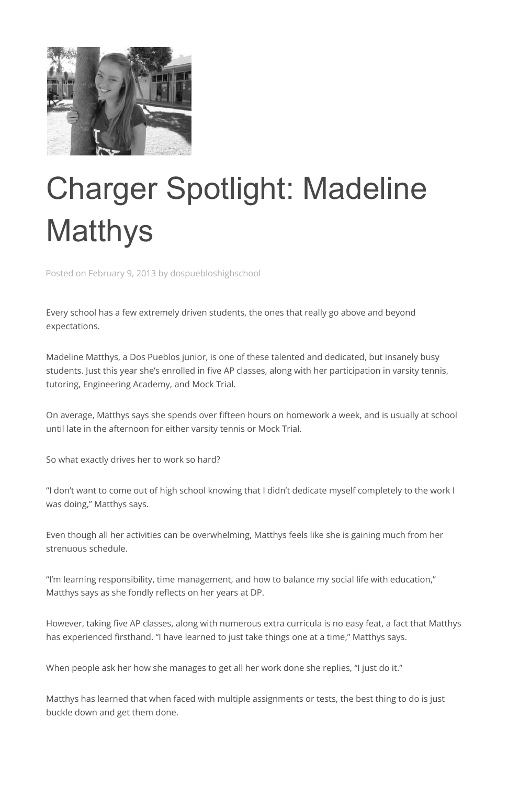

## Charger Spotlight: Madeline **Matthys**

Posted on February 9, 2013 by dospuebloshighschool

Every school has a few extremely driven students, the ones that really go above and beyond expectations.

Madeline Matthys, a Dos Pueblos junior, is one of these talented and dedicated, but insanely busy students. Just this year she's enrolled in five AP classes, along with her participation in varsity tennis, tutoring, Engineering Academy, and Mock Trial.

On average, Matthys says she spends over fifteen hours on homework a week, and is usually at school until late in the afternoon for either varsity tennis or Mock Trial.

So what exactly drives her to work so hard?

"I don't want to come out of high school knowing that I didn't dedicate myself completely to the work I was doing," Matthys says.

Even though all her activities can be overwhelming, Matthys feels like she is gaining much from her strenuous schedule.

"I'm learning responsibility, time management, and how to balance my social life with education," Matthys says as she fondly reflects on her years at DP.

However, taking five AP classes, along with numerous extra curricula is no easy feat, a fact that Matthys has experienced firsthand. "I have learned to just take things one at a time," Matthys says.

When people ask her how she manages to get all her work done she replies, "I just do it."

Matthys has learned that when faced with multiple assignments or tests, the best thing to do is just buckle down and get them done.